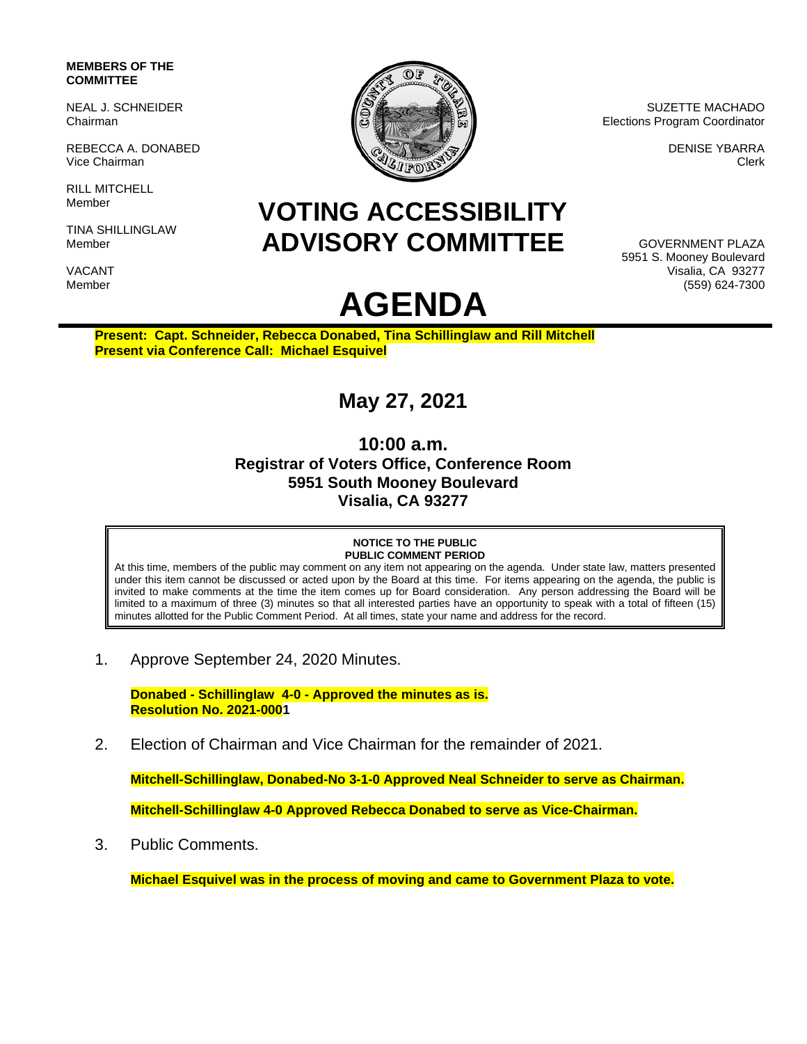## **MEMBERS OF THE COMMITTEE**

NEAL J. SCHNEIDER Chairman

REBECCA A. DONABED Vice Chairman

RILL MITCHELL Member

TINA SHILLINGLAW Member

VACANT Member



SUZETTE MACHADO Elections Program Coordinator

> DENISE YBARRA Clerk

## **VOTING ACCESSIBILITY ADVISORY COMMITTEE**

**AGENDA**

GOVERNMENT PLAZA 5951 S. Mooney Boulevard Visalia, CA 93277 (559) 624-7300

**Present: Capt. Schneider, Rebecca Donabed, Tina Schillinglaw and Rill Mitchell Present via Conference Call: Michael Esquivel**

## **May 27, 2021**

**10:00 a.m. Registrar of Voters Office, Conference Room 5951 South Mooney Boulevard Visalia, CA 93277**

## **NOTICE TO THE PUBLIC PUBLIC COMMENT PERIOD**

At this time, members of the public may comment on any item not appearing on the agenda. Under state law, matters presented under this item cannot be discussed or acted upon by the Board at this time. For items appearing on the agenda, the public is invited to make comments at the time the item comes up for Board consideration. Any person addressing the Board will be limited to a maximum of three (3) minutes so that all interested parties have an opportunity to speak with a total of fifteen (15) minutes allotted for the Public Comment Period. At all times, state your name and address for the record.

1. Approve September 24, 2020 Minutes.

**Donabed - Schillinglaw 4-0 - Approved the minutes as is. Resolution No. 2021-0001**

2. Election of Chairman and Vice Chairman for the remainder of 2021.

**Mitchell-Schillinglaw, Donabed-No 3-1-0 Approved Neal Schneider to serve as Chairman. Mitchell-Schillinglaw 4-0 Approved Rebecca Donabed to serve as Vice-Chairman.** 

3. Public Comments.

**Michael Esquivel was in the process of moving and came to Government Plaza to vote.**